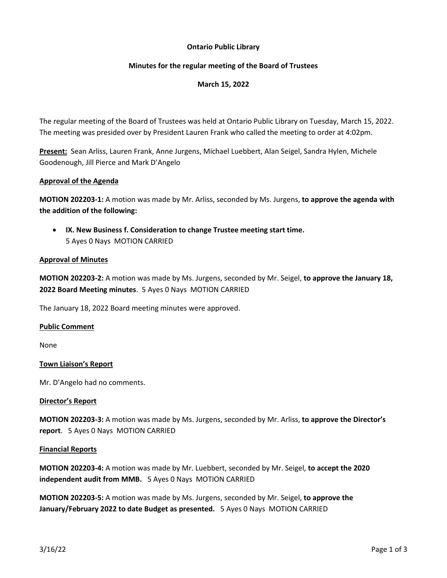# **Ontario Public Library**

## **Minutes for the regular meeting of the Board of Trustees**

# **March 15, 2022**

The regular meeting of the Board of Trustees was held at Ontario Public Library on Tuesday, March 15, 2022. The meeting was presided over by President Lauren Frank who called the meeting to order at 4:02pm.

**Present:** Sean Arliss, Lauren Frank, Anne Jurgens, Michael Luebbert, Alan Seigel, Sandra Hylen, Michele Goodenough, Jill Pierce and Mark D'Angelo

### **Approval of the Agenda**

**MOTION 202203-1:** A motion was made by Mr. Arliss, seconded by Ms. Jurgens, **to approve the agenda with the addition of the following:**

• **IX. New Business f. Consideration to change Trustee meeting start time.** 5 Ayes 0 Nays MOTION CARRIED

#### **Approval of Minutes**

**MOTION 202203-2:** A motion was made by Ms. Jurgens, seconded by Mr. Seigel, **to approve the January 18, 2022 Board Meeting minutes**. 5 Ayes 0 Nays MOTION CARRIED

The January 18, 2022 Board meeting minutes were approved.

#### **Public Comment**

None

#### **Town Liaison's Report**

Mr. D'Angelo had no comments.

#### **Director's Report**

**MOTION 202203-3:** A motion was made by Ms. Jurgens, seconded by Mr. Arliss, **to approve the Director's report**. 5 Ayes 0 Nays MOTION CARRIED

#### **Financial Reports**

**MOTION 202203-4:** A motion was made by Mr. Luebbert, seconded by Mr. Seigel, **to accept the 2020 independent audit from MMB.** 5 Ayes 0 Nays MOTION CARRIED

**MOTION 202203-5:** A motion was made by Ms. Jurgens, seconded by Mr. Seigel, **to approve the January/February 2022 to date Budget as presented.** 5 Ayes 0 Nays MOTION CARRIED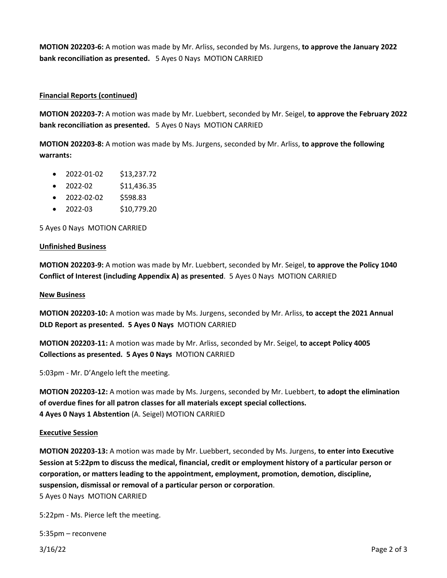**MOTION 202203-6:** A motion was made by Mr. Arliss, seconded by Ms. Jurgens, **to approve the January 2022 bank reconciliation as presented.** 5 Ayes 0 Nays MOTION CARRIED

### **Financial Reports (continued)**

**MOTION 202203-7:** A motion was made by Mr. Luebbert, seconded by Mr. Seigel, **to approve the February 2022 bank reconciliation as presented.** 5 Ayes 0 Nays MOTION CARRIED

**MOTION 202203-8:** A motion was made by Ms. Jurgens, seconded by Mr. Arliss, **to approve the following warrants:**

- 2022-01-02 \$13,237.72
- $\bullet$  2022-02 \$11,436.35
- 2022-02-02 \$598.83
- 2022-03 \$10,779.20

5 Ayes 0 Nays MOTION CARRIED

#### **Unfinished Business**

**MOTION 202203-9:** A motion was made by Mr. Luebbert, seconded by Mr. Seigel, **to approve the Policy 1040 Conflict of Interest (including Appendix A) as presented**. 5 Ayes 0 Nays MOTION CARRIED

#### **New Business**

**MOTION 202203-10:** A motion was made by Ms. Jurgens, seconded by Mr. Arliss, **to accept the 2021 Annual DLD Report as presented. 5 Ayes 0 Nays** MOTION CARRIED

**MOTION 202203-11:** A motion was made by Mr. Arliss, seconded by Mr. Seigel, **to accept Policy 4005 Collections as presented. 5 Ayes 0 Nays** MOTION CARRIED

5:03pm - Mr. D'Angelo left the meeting.

**MOTION 202203-12:** A motion was made by Ms. Jurgens, seconded by Mr. Luebbert, **to adopt the elimination of overdue fines for all patron classes for all materials except special collections. 4 Ayes 0 Nays 1 Abstention** (A. Seigel) MOTION CARRIED

#### **Executive Session**

**MOTION 202203-13:** A motion was made by Mr. Luebbert, seconded by Ms. Jurgens, **to enter into Executive Session at 5:22pm to discuss the medical, financial, credit or employment history of a particular person or corporation, or matters leading to the appointment, employment, promotion, demotion, discipline, suspension, dismissal or removal of a particular person or corporation**. 5 Ayes 0 Nays MOTION CARRIED

5:22pm - Ms. Pierce left the meeting.

5:35pm – reconvene